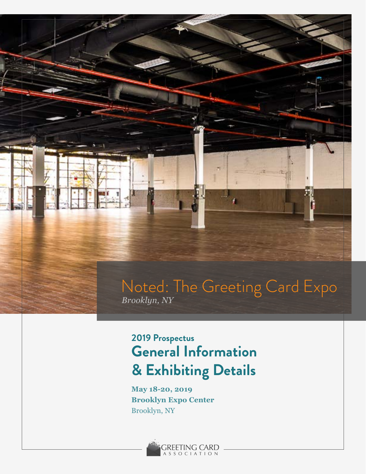# Noted: The Greeting Card Expo *Brooklyn, NY*

# **General Information & Exhibiting Details 2019 Prospectus**

**May 18-20, 2019 Brooklyn Expo Center** Brooklyn, NY

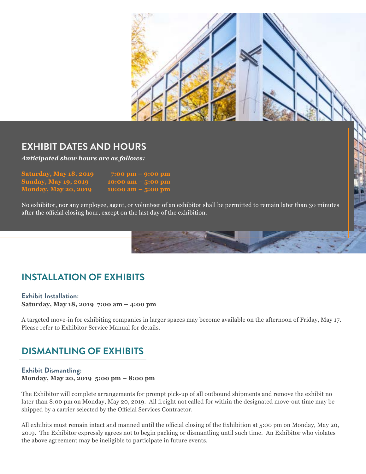

# **EXHIBIT DATES AND HOURS**

*Anticipated show hours are as follows:*

| Saturday, May 18, 2019      | $7:00 \text{ pm} - 9:00 \text{ pm}$ |
|-----------------------------|-------------------------------------|
| <b>Sunday, May 19, 2019</b> | 10:00 am $-$ 5:00 pm                |
| <b>Monday, May 20, 2019</b> | 10:00 am $-$ 5:00 pm                |

No exhibitor, nor any employee, agent, or volunteer of an exhibitor shall be permitted to remain later than 30 minutes after the official closing hour, except on the last day of the exhibition.



# **INSTALLATION OF EXHIBITS**

## **Exhibit Installation:**

**Saturday, May 18, 2019 7:00 am – 4:00 pm**

A targeted move-in for exhibiting companies in larger spaces may become available on the afternoon of Friday, May 17. Please refer to Exhibitor Service Manual for details.

# **DISMANTLING OF EXHIBITS**

#### **Exhibit Dismantling: Monday, May 20, 2019 5:00 pm – 8:00 pm**

The Exhibitor will complete arrangements for prompt pick-up of all outbound shipments and remove the exhibit no later than 8:00 pm on Monday, May 20, 2019. All freight not called for within the designated move-out time may be shipped by a carrier selected by the Official Services Contractor.

All exhibits must remain intact and manned until the official closing of the Exhibition at 5:00 pm on Monday, May 20, 2019. The Exhibitor expressly agrees not to begin packing or dismantling until such time. An Exhibitor who violates the above agreement may be ineligible to participate in future events.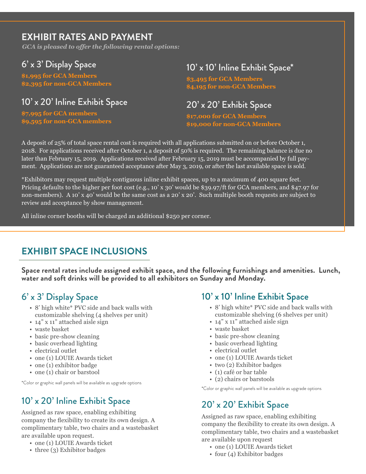# **EXHIBIT RATES AND PAYMENT**

*GCA is pleased to offer the following rental options:*

# 6' x 3' Display Space

**\$1,995 for GCA Members \$2,395 for non-GCA Members**

# 10' x 20' Inline Exhibit Space

**\$7,995 for GCA members \$9,595 for non-GCA members**

# 10' x 10' Inline Exhibit Space\*

**\$3,495 for GCA Members \$4,195 for non-GCA Members**

# 20' x 20' Exhibit Space

**\$17,000 for GCA Members \$19,000 for non-GCA Members**

A deposit of 25% of total space rental cost is required with all applications submitted on or before October 1, 2018. For applications received after October 1, a deposit of 50% is required. The remaining balance is due no later than February 15, 2019. Applications received after February 15, 2019 must be accompanied by full payment. Applications are not guaranteed acceptance after May 3, 2019, or after the last available space is sold.

\*Exhibitors may request multiple contiguous inline exhibit spaces, up to a maximum of 400 square feet. Pricing defaults to the higher per foot cost (e.g., 10' x 30' would be \$39.97/ft for GCA members, and \$47.97 for non-members). A 10' x 40' would be the same cost as a 20' x 20'. Such multiple booth requests are subject to review and acceptance by show management.

All inline corner booths will be charged an additional \$250 per corner.

# **EXHIBIT SPACE INCLUSIONS**

**Space rental rates include assigned exhibit space, and the following furnishings and amenities. Lunch, water and soft drinks will be provided to all exhibitors on Sunday and Monday.**

# 6' x 3' Display Space

- 8' high white\* PVC side and back walls with customizable shelving (4 shelves per unit)
- 14" x 11" attached aisle sign
- waste basket
- basic pre-show cleaning
- basic overhead lighting
- electrical outlet
- one (1) LOUIE Awards ticket
- one (1) exhibitor badge
- one (1) chair or barstool

\*Color or graphic wall panels will be available as upgrade options

# 10' x 20' Inline Exhibit Space

Assigned as raw space, enabling exhibiting company the flexibility to create its own design. A complimentary table, two chairs and a wastebasket are available upon request.

- one (1) LOUIE Awards ticket
- three (3) Exhibitor badges

# 10' x 10' Inline Exhibit Space

- 8' high white\* PVC side and back walls with customizable shelving (6 shelves per unit)
- 14" x 11" attached aisle sign
- waste basket
- basic pre-show cleaning
- basic overhead lighting
- electrical outlet
- one (1) LOUIE Awards ticket
- two (2) Exhibitor badges
- (1) café or bar table
- (2) chairs or barstools

\*Color or graphic wall panels will be available as upgrade options

# 20' x 20' Exhibit Space

Assigned as raw space, enabling exhibiting company the flexibility to create its own design. A complimentary table, two chairs and a wastebasket are available upon request

- one (1) LOUIE Awards ticket
- four (4) Exhibitor badges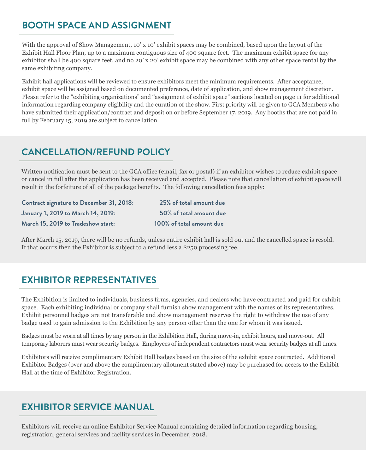# **BOOTH SPACE AND ASSIGNMENT**

With the approval of Show Management, 10' x 10' exhibit spaces may be combined, based upon the layout of the Exhibit Hall Floor Plan, up to a maximum contiguous size of 400 square feet. The maximum exhibit space for any exhibitor shall be 400 square feet, and no 20' x 20' exhibit space may be combined with any other space rental by the same exhibiting company.

Exhibit hall applications will be reviewed to ensure exhibitors meet the minimum requirements. After acceptance, exhibit space will be assigned based on documented preference, date of application, and show management discretion. Please refer to the "exhibiting organizations" and "assignment of exhibit space" sections located on page 11 for additional information regarding company eligibility and the curation of the show. First priority will be given to GCA Members who have submitted their application/contract and deposit on or before September 17, 2019. Any booths that are not paid in full by February 15, 2019 are subject to cancellation.

# **CANCELLATION/REFUND POLICY**

Written notification must be sent to the GCA office (email, fax or postal) if an exhibitor wishes to reduce exhibit space or cancel in full after the application has been received and accepted. Please note that cancellation of exhibit space will result in the forfeiture of all of the package benefits. The following cancellation fees apply:

| <b>Contract signature to December 31, 2018:</b> | 25% of total amount due  |
|-------------------------------------------------|--------------------------|
| January 1, 2019 to March 14, 2019:              | 50% of total amount due  |
| March 15, 2019 to Tradeshow start:              | 100% of total amount due |

After March 15, 2019, there will be no refunds, unless entire exhibit hall is sold out and the cancelled space is resold. If that occurs then the Exhibitor is subject to a refund less a \$250 processing fee.

# **EXHIBITOR REPRESENTATIVES**

The Exhibition is limited to individuals, business firms, agencies, and dealers who have contracted and paid for exhibit space. Each exhibiting individual or company shall furnish show management with the names of its representatives. Exhibit personnel badges are not transferable and show management reserves the right to withdraw the use of any badge used to gain admission to the Exhibition by any person other than the one for whom it was issued.

Badges must be worn at all times by any person in the Exhibition Hall, during move-in, exhibit hours, and move-out. All temporary laborers must wear security badges. Employees of independent contractors must wear security badges at all times.

Exhibitors will receive complimentary Exhibit Hall badges based on the size of the exhibit space contracted. Additional Exhibitor Badges (over and above the complimentary allotment stated above) may be purchased for access to the Exhibit Hall at the time of Exhibitor Registration.

# **EXHIBITOR SERVICE MANUAL**

Exhibitors will receive an online Exhibitor Service Manual containing detailed information regarding housing, registration, general services and facility services in December, 2018.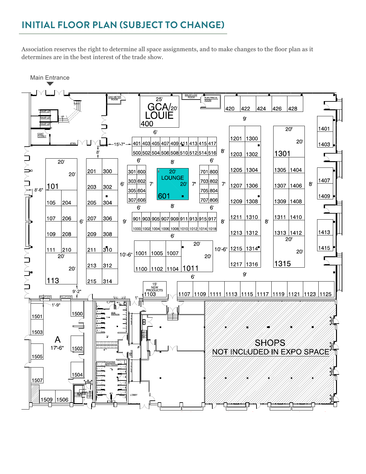# **INITIAL FLOOR PLAN (SUBJECT TO CHANGE)**

Association reserves the right to determine all space assignments, and to make changes to the floor plan as it determines are in the best interest of the trade show.

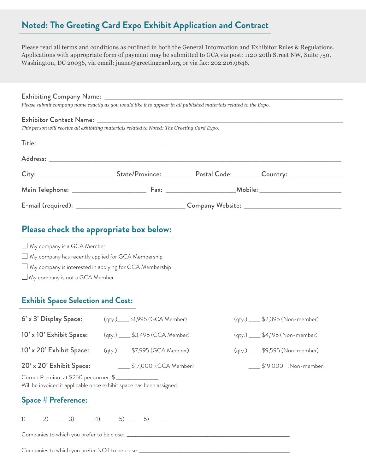# **Noted: The Greeting Card Expo Exhibit Application and Contract**

Please read all terms and conditions as outlined in both the General Information and Exhibitor Rules & Regulations. Applications with appropriate form of payment may be submitted to GCA via post: 1120 20th Street NW, Suite 750, Washington, DC 20036, via email: juana@greetingcard.org or via fax: 202.216.9646.

# Exhibiting Company Name: \_\_\_\_\_\_\_\_\_\_\_\_\_\_\_\_\_\_\_\_\_\_\_\_\_\_\_\_\_\_\_\_\_\_\_\_\_\_\_\_\_\_\_\_\_\_\_\_\_\_\_\_\_\_\_\_\_\_\_\_\_\_\_ *Please submit company name exactly as you would like it to appear in all published materials related to the Expo.* Exhibitor Contact Name: *This person will receive all exhibiting materials related to Noted: The Greeting Card Expo.* Title:  $\Box$ Address: \_\_\_\_\_\_\_\_\_\_\_\_\_\_\_\_\_\_\_\_\_\_\_\_\_\_\_\_\_\_\_\_\_\_\_\_\_\_\_\_\_\_\_\_\_\_\_\_\_\_\_\_\_\_\_\_\_\_\_\_\_\_\_\_\_\_\_\_\_\_\_\_\_\_\_ City:\_\_\_\_\_\_\_\_\_\_\_\_\_\_\_\_\_\_\_\_ State/Province:\_\_\_\_\_\_\_\_ Postal Code: \_\_\_\_\_\_\_ Country: \_\_\_\_\_\_\_\_\_\_\_\_\_\_ Main Telephone: \_\_\_\_\_\_\_\_\_\_\_\_\_\_\_\_\_\_\_ Fax: \_\_\_\_\_\_\_\_\_\_\_\_\_\_\_\_\_\_Mobile: \_\_\_\_\_\_\_\_\_\_\_\_\_\_\_\_\_\_\_\_\_ E-mail (required): \_\_\_\_\_\_\_\_\_\_\_\_\_\_\_\_\_\_\_\_\_\_\_\_\_\_\_\_ Company Website: \_\_\_\_\_\_\_\_\_\_\_\_\_\_\_\_\_\_\_\_\_\_\_\_\_

# **Please check the appropriate box below:**

- My company is a GCA Member
- $\Box$  My company has recently applied for GCA Membership
- $\Box$  My company is interested in applying for GCA Membership
- My company is not a GCA Member

### **Exhibit Space Selection and Cost:**

| $6' \times 3'$ Display Space:          | (qty.)_____ \$1,995 (GCA Member)                                     | (qty.) _____ \$2,395 (Non-member) |
|----------------------------------------|----------------------------------------------------------------------|-----------------------------------|
| 10' x 10' Exhibit Space:               | (qty.) _____ \$3,495 (GCA Member)                                    | (qty.) _____ \$4,195 (Non-member) |
| 10' x 20' Exhibit Space:               | (qty.) _____ \$7,995 (GCA Member)                                    | (qty.) _____ \$9,595 (Non-member) |
|                                        | 20' x 20' Exhibit Space: 517,000 (GCA Member)                        | \$19,000 (Non-member)             |
| Corner Premium at \$250 per corner: \$ | Will be invoiced if applicable once exhibit space has been assigned. |                                   |
| <b>Space # Preference:</b>             |                                                                      |                                   |
|                                        |                                                                      |                                   |

Companies to which you prefer to be close: \_\_\_\_\_\_\_\_\_\_\_\_\_\_\_\_\_\_\_\_\_\_\_\_\_\_\_\_\_\_\_\_\_\_\_\_\_\_\_\_\_\_\_\_\_\_\_\_\_\_\_\_\_\_\_\_\_\_\_\_\_\_\_\_\_\_\_\_\_\_\_\_\_\_\_\_\_\_\_\_\_\_\_\_\_\_\_\_\_\_\_\_\_

Companies to which you prefer NOT to be close: \_\_\_\_\_\_\_\_\_\_\_\_\_\_\_\_\_\_\_\_\_\_\_\_\_\_\_\_\_\_\_\_\_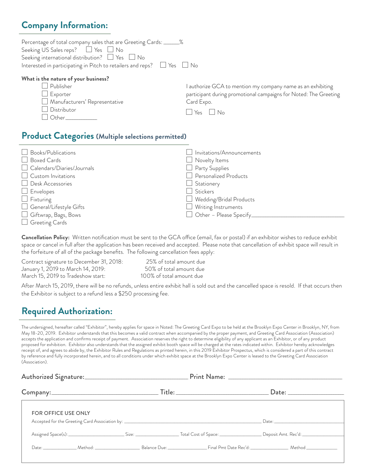# **Company Information:**

| Percentage of total company sales that are Greeting Cards: _______%<br>Seeking US Sales reps? $\Box$ Yes $\Box$ No                                     |                                                                                                                                                               |
|--------------------------------------------------------------------------------------------------------------------------------------------------------|---------------------------------------------------------------------------------------------------------------------------------------------------------------|
| Seeking international distribution? $\Box$ Yes $\Box$ No                                                                                               |                                                                                                                                                               |
| Interested in participating in Pitch to retailers and reps? $\Box$ Yes $\Box$ No                                                                       |                                                                                                                                                               |
| What is the nature of your business?<br>$\Box$ Publisher<br>$\Box$ Exporter<br>Manufacturers' Representative<br>$\Box$ Distributor<br>Other___________ | authorize GCA to mention my company name as an exhibiting<br>participant during promotional campaigns for Noted: The Greeting<br>Card Expo.<br>    Yes     No |

## **Product Categories (Multiple selections permitted)**

| Books/Publications             | Invitations/Announcements     |
|--------------------------------|-------------------------------|
| Boxed Cards                    | Novelty Items                 |
| Calendars/Diaries/Journals     | $\Box$ Party Supplies         |
| $\Box$ Custom Invitations      | Personalized Products         |
| Desk Accessories               | Stationery<br>$\Box$          |
| $\Box$ Envelopes               | Stickers                      |
| $\Box$ Fixturing               | □ Wedding/Bridal Products     |
| $\Box$ General/Lifestyle Gifts | $\Box$ Writing Instruments    |
| $\Box$ Giftwrap, Bags, Bows    | Other - Please Specify_______ |
| $\Box$ Greeting Cards          |                               |

**Cancellation Policy:** Written notification must be sent to the GCA office (email, fax or postal) if an exhibitor wishes to reduce exhibit space or cancel in full after the application has been received and accepted. Please note that cancellation of exhibit space will result in the forfeiture of all of the package benefits. The following cancellation fees apply:

Contract signature to December 31, 2018: 25% of total amount due January 1, 2019 to March 14, 2019: 50% of total amount due March 15, 2019 to Tradeshow start: 100% of total amount due

After March 15, 2019, there will be no refunds, unless entire exhibit hall is sold out and the cancelled space is resold. If that occurs then the Exhibitor is subject to a refund less a \$250 processing fee.

# **Required Authorization:**

The undersigned, hereafter called "Exhibitor", hereby applies for space in Noted: The Greeting Card Expo to be held at the Brooklyn Expo Center in Brooklyn, NY, from May 18-20, 2019. Exhibitor understands that this becomes a valid contract when accompanied by the proper payment, and Greeting Card Association (Association) accepts the application and confirms receipt of payment. Association reserves the right to determine eligibility of any applicant as an Exhibitor, or of any product proposed for exhibition. Exhibitor also understands that the assigned exhibit booth space will be charged at the rates indicated within. Exhibitor hereby acknowledges receipt of, and agrees to abide by, the Exhibitor Rules and Regulations as printed herein, in this 2019 Exhibitor Prospectus, which is considered a part of this contract by reference and fully incorporated herein, and to all conditions under which exhibit space at the Brooklyn Expo Center is leased to the Greeting Card Association (Association).

| <b>FOR OFFICE USE ONLY</b>                                                           |  |  |  |
|--------------------------------------------------------------------------------------|--|--|--|
|                                                                                      |  |  |  |
| Date: Method: Method: Balance Due: Final Pmt Date Rec'd: Method Method Method Method |  |  |  |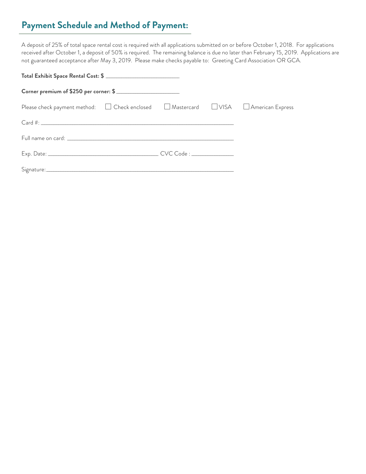# **Payment Schedule and Method of Payment:**

A deposit of 25% of total space rental cost is required with all applications submitted on or before October 1, 2018. For applications received after October 1, a deposit of 50% is required. The remaining balance is due no later than February 15, 2019. Applications are not guaranteed acceptance after May 3, 2019. Please make checks payable to: Greeting Card Association OR GCA.

| Corner premium of \$250 per corner: \$                                               |  |  |  |  |
|--------------------------------------------------------------------------------------|--|--|--|--|
| Please check payment method: □ Check enclosed □ Mastercard □ VISA □ American Express |  |  |  |  |
|                                                                                      |  |  |  |  |
|                                                                                      |  |  |  |  |
|                                                                                      |  |  |  |  |
|                                                                                      |  |  |  |  |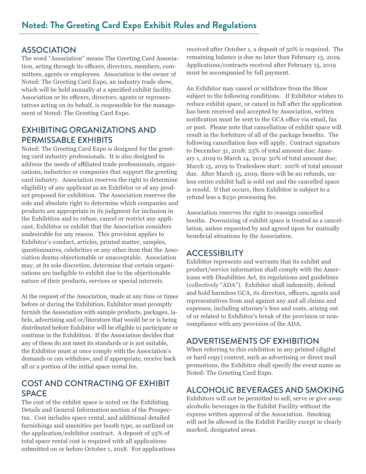### **ASSOCIATION**

The word "Association" means The Greeting Card Association, acting through its officers, directors, members, committees, agents or employees. Association is the owner of Noted: The Greeting Card Expo, an industry trade show, which will be held annually at a specified exhibit facility. Association or its officers, directors, agents or representatives acting on its behalf, is responsible for the management of Noted: The Greeting Card Expo.

### EXHIBITING ORGANIZATIONS AND PERMISSABLE EXHIBITS

Noted: The Greeting Card Expo is designed for the greeting card industry professionals. It is also designed to address the needs of affiliated trade professionals, organizations, industries or companies that support the greeting card industry. Association reserves the right to determine eligibility of any applicant as an Exhibitor or of any product proposed for exhibition. The Association reserves the sole and absolute right to determine which companies and products are appropriate in its judgment for inclusion in the Exhibition and to refuse, cancel or restrict any applicant, Exhibitor or exhibit that the Association considers undesirable for any reason. This provision applies to Exhibitor's conduct, articles, printed matter, samples, questionnaires, celebrities or any other item that the Association deems objectionable or unacceptable. Association may, at its sole discretion, determine that certain organizations are ineligible to exhibit due to the objectionable nature of their products, services or special interests.

At the request of the Association, made at any time or times before or during the Exhibition, Exhibitor must promptly furnish the Association with sample products, packages, labels, advertising and or/literature that would be or is being distributed before Exhibitor will be eligible to participate or continue in the Exhibition. If the Association decides that any of these do not meet its standards or is not suitable, the Exhibitor must at once comply with the Association's demands or can withdraw, and if appropriate, receive back all or a portion of the initial space rental fee.

### COST AND CONTRACTING OF EXHIBIT **SPACE**

The cost of the exhibit space is noted on the Exhibiting Details and General Information section of the Prospectus. Cost includes space rental, and additional detailed furnishings and amenities per booth type, as outlined on the application/exhibitor contract. A deposit of 25% of total space rental cost is required with all applications submitted on or before October 1, 2018. For applications received after October 1, a deposit of 50% is required. The remaining balance is due no later than February 15, 2019. Applications/contracts received after February 15, 2019 must be accompanied by full payment.

An Exhibitor may cancel or withdraw from the Show subject to the following conditions. If Exhibitor wishes to reduce exhibit space, or cancel in full after the application has been received and accepted by Association, written notification must be sent to the GCA office via email, fax or post. Please note that cancellation of exhibit space will result in the forfeiture of all of the package benefits. The following cancellation fees will apply. Contract signature to December 31, 2018: 25% of total amount due; January 1, 2019 to March 14, 2019: 50% of total amount due; March 15, 2019 to Tradeshow start: 100% of total amount due. After March 15, 2019, there will be no refunds, unless entire exhibit hall is sold out and the cancelled space is resold. If that occurs, then Exhibitor is subject to a refund less a \$250 processing fee.

Association reserves the right to reassign cancelled booths. Downsizing of exhibit space is treated as a cancellation, unless requested by and agreed upon for mutually beneficial situations by the Association.

### **ACCESSIBILITY**

Exhibitor represents and warrants that its exhibit and product/service information shall comply with the Americans with Disabilities Act, its regulations and guidelines (collectively "ADA"). Exhibitor shall indemnify, defend and hold harmless GCA, its directors, officers, agents and representatives from and against any and all claims and expenses, including attorney's fees and costs, arising out of or related to Exhibitor's break of the provision or noncompliance with any provision of the ADA.

## ADVERTISEMENTS OF EXHIBITION

When referring to this exhibition in any printed (digital or hard copy) context, such as advertising or direct mail promotions, the Exhibitor shall specify the event name as Noted: The Greeting Card Expo.

## ALCOHOLIC BEVERAGES AND SMOKING

Exhibitors will not be permitted to sell, serve or give away alcoholic beverages in the Exhibit Facility without the express written approval of the Association. Smoking will not be allowed in the Exhibit Facility except in clearly marked, designated areas.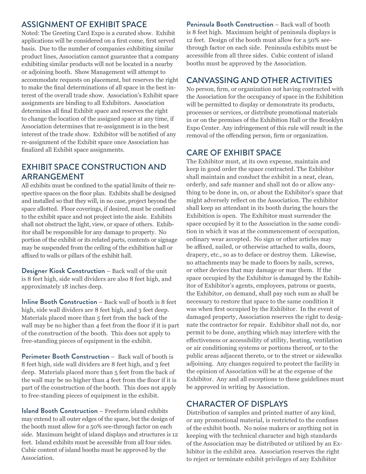#### ASSIGNMENT OF EXHIBIT SPACE

Noted: The Greeting Card Expo is a curated show. Exhibit applications will be considered on a first come, first served basis. Due to the number of companies exhibiting similar product lines, Association cannot guarantee that a company exhibiting similar products will not be located in a nearby or adjoining booth. Show Management will attempt to accommodate requests on placement, but reserves the right to make the final determinations of all space in the best interest of the overall trade show. Association's Exhibit space assignments are binding to all Exhibitors. Association determines all final Exhibit space and reserves the right to change the location of the assigned space at any time, if Association determines that re-assignment is in the best interest of the trade show. Exhibitor will be notified of any re-assignment of the Exhibit space once Association has finalized all Exhibit space assignments.

### EXHIBIT SPACE CONSTRUCTION AND ARRANGEMENT

All exhibits must be confined to the spatial limits of their respective spaces on the floor plan. Exhibits shall be designed and installed so that they will, in no case, project beyond the space allotted. Floor coverings, if desired, must be confined to the exhibit space and not project into the aisle. Exhibits shall not obstruct the light, view, or space of others. Exhibitor shall be responsible for any damage to property. No portion of the exhibit or its related parts, contents or signage may be suspended from the ceiling of the exhibition hall or affixed to walls or pillars of the exhibit hall.

**Designer Kiosk Construction** – Back wall of the unit is 8 feet high, side wall dividers are also 8 feet high, and approximately 18 inches deep.

**Inline Booth Construction** – Back wall of booth is 8 feet high, side wall dividers are 8 feet high, and 3 feet deep. Materials placed more than 5 feet from the back of the wall may be no higher than 4 feet from the floor if it is part of the construction of the booth. This does not apply to free-standing pieces of equipment in the exhibit.

**Perimeter Booth Construction** – Back wall of booth is 8 feet high, side wall dividers are 8 feet high, and 3 feet deep. Materials placed more than 5 feet from the back of the wall may be no higher than 4 feet from the floor if it is part of the construction of the booth. This does not apply to free-standing pieces of equipment in the exhibit.

**Island Booth Construction** – Freeform island exhibits may extend to all outer edges of the space, but the design of the booth must allow for a 50% see-through factor on each side. Maximum height of island displays and structures is 12 feet. Island exhibits must be accessible from all four sides. Cubic content of island booths must be approved by the Association.

**Peninsula Booth Construction** – Back wall of booth is 8 feet high. Maximum height of peninsula displays is 12 feet. Design of the booth must allow for a 50% seethrough factor on each side. Peninsula exhibits must be accessible from all three sides. Cubic content of island booths must be approved by the Association.

#### CANVASSING AND OTHER ACTIVITIES

No person, firm, or organization not having contracted with the Association for the occupancy of space in the Exhibition will be permitted to display or demonstrate its products, processes or services, or distribute promotional materials in or on the premises of the Exhibition Hall or the Brooklyn Expo Center. Any infringement of this rule will result in the removal of the offending person, firm or organization.

#### CARE OF EXHIBIT SPACE

The Exhibitor must, at its own expense, maintain and keep in good order the space contracted. The Exhibitor shall maintain and conduct the exhibit in a neat, clean, orderly, and safe manner and shall not do or allow anything to be done in, on, or about the Exhibitor's space that might adversely reflect on the Association. The exhibitor shall keep an attendant in its booth during the hours the Exhibition is open. The Exhibitor must surrender the space occupied by it to the Association in the same condition in which it was at the commencement of occupation, ordinary wear accepted. No sign or other articles may be affixed, nailed, or otherwise attached to walls, doors, drapery, etc., so as to deface or destroy them. Likewise, no attachments may be made to floors by nails, screws, or other devices that may damage or mar them. If the space occupied by the Exhibitor is damaged by the Exhibitor of Exhibitor's agents, employees, patrons or guests, the Exhibitor, on demand, shall pay such sum as shall be necessary to restore that space to the same condition it was when first occupied by the Exhibitor. In the event of damaged property, Association reserves the right to designate the contractor for repair. Exhibitor shall not do, nor permit to be done, anything which may interfere with the effectiveness or accessibility of utility, heating, ventilation or air conditioning systems or portions thereof, or to the public areas adjacent thereto, or to the street or sidewalks adjoining. Any changes required to protect the facility in the opinion of Association will be at the expense of the Exhibitor. Any and all exceptions to these guidelines must be approved in writing by Association.

## CHARACTER OF DISPLAYS

Distribution of samples and printed matter of any kind, or any promotional material, is restricted to the confines of the exhibit booth. No noise makers or anything not in keeping with the technical character and high standards of the Association may be distributed or utilized by an Exhibitor in the exhibit area. Association reserves the right to reject or terminate exhibit privileges of any Exhibitor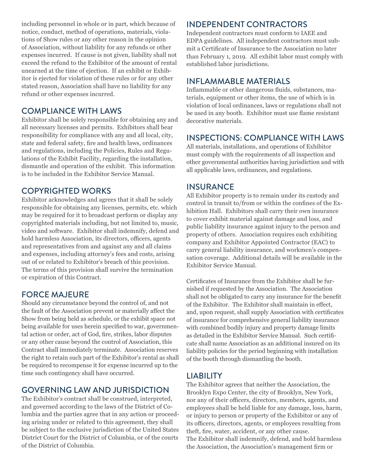including personnel in whole or in part, which because of notice, conduct, method of operations, materials, violations of Show rules or any other reason in the opinion of Association, without liability for any refunds or other expenses incurred. If cause is not given, liability shall not exceed the refund to the Exhibitor of the amount of rental unearned at the time of ejection. If an exhibit or Exhibitor is ejected for violation of these rules or for any other stated reason, Association shall have no liability for any refund or other expenses incurred.

### COMPLIANCE WITH LAWS

Exhibitor shall be solely responsible for obtaining any and all necessary licenses and permits. Exhibitors shall bear responsibility for compliance with any and all local, city, state and federal safety, fire and health laws, ordinances and regulations, including the Policies, Rules and Regulations of the Exhibit Facility, regarding the installation, dismantle and operation of the exhibit. This information is to be included in the Exhibitor Service Manual.

## COPYRIGHTED WORKS

Exhibitor acknowledges and agrees that it shall be solely responsible for obtaining any licenses, permits, etc. which may be required for it to broadcast perform or display any copyrighted materials including, but not limited to, music, video and software. Exhibitor shall indemnify, defend and hold harmless Association, its directors, officers, agents and representatives from and against any and all claims and expenses, including attorney's fees and costs, arising out of or related to Exhibitor's breach of this provision. The terms of this provision shall survive the termination or expiration of this Contract.

### FORCE MAJEURE

Should any circumstance beyond the control of, and not the fault of the Association prevent or materially affect the Show from being held as schedule, or the exhibit space not being available for uses herein specified to war, governmental action or order, act of God, fire, strikes, labor disputes or any other cause beyond the control of Association, this Contract shall immediately terminate. Association reserves the right to retain such part of the Exhibitor's rental as shall be required to recompense it for expense incurred up to the time such contingency shall have occurred.

### GOVERNING LAW AND JURISDICTION

The Exhibitor's contract shall be construed, interpreted, and governed according to the laws of the District of Columbia and the parties agree that in any action or proceeding arising under or related to this agreement, they shall be subject to the exclusive jurisdiction of the United States District Court for the District of Columbia, or of the courts of the District of Columbia.

#### INDEPENDENT CONTRACTORS

Independent contractors must conform to IAEE and EDPA guidelines. All independent contractors must submit a Certificate of Insurance to the Association no later than February 1, 2019. All exhibit labor must comply with established labor jurisdictions.

### INFLAMMABLE MATERIALS

Inflammable or other dangerous fluids, substances, materials, equipment or other items, the use of which is in violation of local ordinances, laws or regulations shall not be used in any booth. Exhibitor must use flame resistant decorative materials.

### INSPECTIONS: COMPLIANCE WITH LAWS

All materials, installations, and operations of Exhibitor must comply with the requirements of all inspection and other governmental authorities having jurisdiction and with all applicable laws, ordinances, and regulations.

#### **INSURANCE**

All Exhibitor property is to remain under its custody and control in transit to/from or within the confines of the Exhibition Hall. Exhibitors shall carry their own insurance to cover exhibit material against damage and loss, and public liability insurance against injury to the person and property of others. Association requires each exhibiting company and Exhibitor Appointed Contractor (EAC) to carry general liability insurance, and workmen's compensation coverage. Additional details will be available in the Exhibitor Service Manual.

Certificates of Insurance from the Exhibitor shall be furnished if requested by the Association. The Association shall not be obligated to carry any insurance for the benefit of the Exhibitor. The Exhibitor shall maintain in effect, and, upon request, shall supply Association with certificates of insurance for comprehensive general liability insurance with combined bodily injury and property damage limits as detailed in the Exhibitor Service Manual. Such certificate shall name Association as an additional insured on its liability policies for the period beginning with installation of the booth through dismantling the booth.

### LIABILITY

The Exhibitor agrees that neither the Association, the Brooklyn Expo Center, the city of Brooklyn, New York, nor any of their officers, directors, members, agents, and employees shall be held liable for any damage, loss, harm, or injury to person or property of the Exhibitor or any of its officers, directors, agents, or employees resulting from theft, fire, water, accident, or any other cause. The Exhibitor shall indemnify, defend, and hold harmless the Association, the Association's management firm or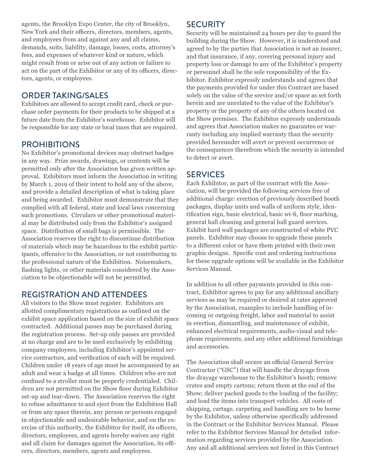agents, the Brooklyn Expo Center, the city of Brooklyn, New York and their officers, directors, members, agents, and employees from and against any and all claims, demands, suits, liability, damage, losses, costs, attorney's fees, and expenses of whatever kind or nature, which might result from or arise out of any action or failure to act on the part of the Exhibitor or any of its officers, directors, agents, or employees.

#### ORDER TAKING/SALES

Exhibitors are allowed to accept credit card, check or purchase order payments for their products to be shipped at a future date from the Exhibitor's warehouse. Exhibitor will be responsible for any state or local taxes that are required.

### PROHIBITIONS

No Exhibitor's promotional devices may obstruct badges in any way. Prize awards, drawings, or contents will be permitted only after the Association has given written approval. Exhibitors must inform the Association in writing by March 1, 2019 of their intent to hold any of the above, and provide a detailed description of what is taking place and being awarded. Exhibitor must demonstrate that they complied with all federal, state and local laws concerning such promotions. Circulars or other promotional material may be distributed only from the Exhibitor's assigned space. Distribution of small bags is permissible. The Association reserves the right to discontinue distribution of materials which may be hazardous to the exhibit participants, offensive to the Association, or not contributing to the professional nature of the Exhibition. Noisemakers, flashing lights, or other materials considered by the Association to be objectionable will not be permitted.

### REGISTRATION AND ATTENDEES

All visitors to the Show must register. Exhibitors are allotted complimentary registrations as outlined on the exhibit space application based on the size of exhibit space contracted. Additional passes may be purchased during the registration process. Set-up only passes are provided at no charge and are to be used exclusively by exhibiting company employees, including Exhibitor's appointed service contractors, and verification of such will be required. Children under 18 years of age must be accompanied by an adult and wear a badge at all times. Children who are not confined to a stroller must be properly credentialed. Children are not permitted on the Show floor during Exhibitor set-up and tear-down. The Association reserves the right to refuse admittance to and eject from the Exhibition Hall or from any space therein, any person or persons engaged in objectionable and undesirable behavior, and on the exercise of this authority, the Exhibitor for itself, its officers, directors, employees, and agents hereby waives any right and all claim for damages against the Association, its officers, directors, members, agents and employees.

#### **SECURITY**

Security will be maintained 24 hours per day to guard the building during the Show. However, it is understood and agreed to by the parties that Association is not an insurer, and that insurance, if any, covering personal injury and property loss or damage to any of the Exhibitor's property or personnel shall be the sole responsibility of the Exhibitor. Exhibitor expressly understands and agrees that the payments provided for under this Contract are based solely on the value of the service and/or space as set forth herein and are unrelated to the value of the Exhibitor's property or the property of any of the others located on the Show premises. The Exhibitor expressly understands and agrees that Association makes no guarantee or warranty including any implied warranty than the security provided hereunder will avert or prevent occurrence or the consequences therefrom which the security is intended to detect or avert.

### SERVICES

Each Exhibitor, as part of the contract with the Association, will be provided the following services free of additional charge: erection of previously described booth packages, display units and walls of uniform style, identification sign, basic electrical, basic wi-fi, floor marking, general hall cleaning and general hall guard services. Exhibit hard wall packages are constructed of white PVC panels. Exhibitor may choose to upgrade these panels to a different color or have them printed with their own graphic designs. Specific cost and ordering instructions for these upgrade options will be available in the Exhibitor Services Manual.

In addition to all other payments provided in this contract, Exhibitor agrees to pay for any additional ancillary services as may be required or desired at rates approved by the Association, examples to include handling of incoming or outgoing freight, labor and material to assist in erection, dismantling, and maintenance of exhibit, enhanced electrical requirements, audio-visual and telephone requirements, and any other additional furnishings and accessories.

The Association shall secure an official General Service Contractor ("GSC") that will handle the drayage from the drayage warehouse to the Exhibitor's booth; remove crates and empty cartons; return them at the end of the Show; deliver packed goods to the loading of the facility; and load the items into transport vehicles. All costs of shipping, cartage, carpeting and handling are to be borne by the Exhibitor, unless otherwise specifically addressed in the Contract or the Exhibitor Services Manual. Please refer to the Exhibitor Services Manual for detailed information regarding services provided by the Association. Any and all additional services not listed in this Contract